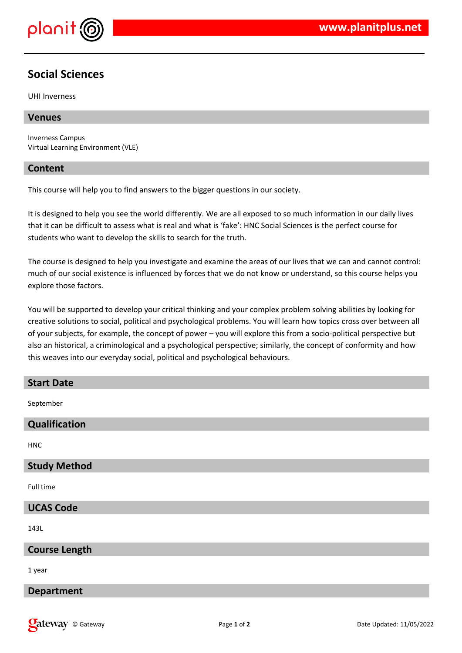

## **Social Sciences**

UHI Inverness

#### **Venues**

Inverness Campus Virtual Learning Environment (VLE)

#### **Content**

This course will help you to find answers to the bigger questions in our society.

It is designed to help you see the world differently. We are all exposed to so much information in our daily lives that it can be difficult to assess what is real and what is 'fake': HNC Social Sciences is the perfect course for students who want to develop the skills to search for the truth.

The course is designed to help you investigate and examine the areas of our lives that we can and cannot control: much of our social existence is influenced by forces that we do not know or understand, so this course helps you explore those factors.

You will be supported to develop your critical thinking and your complex problem solving abilities by looking for creative solutions to social, political and psychological problems. You will learn how topics cross over between all of your subjects, for example, the concept of power – you will explore this from a socio-political perspective but also an historical, a criminological and a psychological perspective; similarly, the concept of conformity and how this weaves into our everyday social, political and psychological behaviours.

# **Start Date** September

**HNC** 

## **Study Method**

**Qualification**

Full time

#### **UCAS Code**

143L

### **Course Length**

1 year

#### **Department**